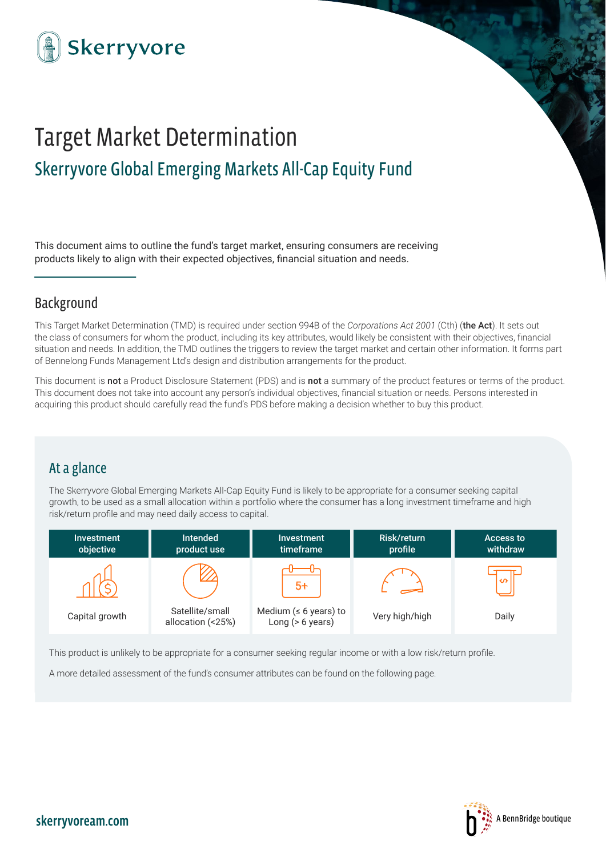

# Target Market Determination Skerryvore Global Emerging Markets All-Cap Equity Fund

This document aims to outline the fund's target market, ensuring consumers are receiving products likely to align with their expected objectives, financial situation and needs.

# Background

This Target Market Determination (TMD) is required under section 994B of the *Corporations Act 2001* (Cth) (the Act). It sets out the class of consumers for whom the product, including its key attributes, would likely be consistent with their objectives, financial situation and needs. In addition, the TMD outlines the triggers to review the target market and certain other information. It forms part of Bennelong Funds Management Ltd's design and distribution arrangements for the product.

This document is not a Product Disclosure Statement (PDS) and is not a summary of the product features or terms of the product. This document does not take into account any person's individual objectives, financial situation or needs. Persons interested in acquiring this product should carefully read the fund's PDS before making a decision whether to buy this product.

# At a glance

The Skerryvore Global Emerging Markets All-Cap Equity Fund is likely to be appropriate for a consumer seeking capital growth, to be used as a small allocation within a portfolio where the consumer has a long investment timeframe and high risk/return profile and may need daily access to capital.



This product is unlikely to be appropriate for a consumer seeking regular income or with a low risk/return profile.

A more detailed assessment of the fund's consumer attributes can be found on the following page.

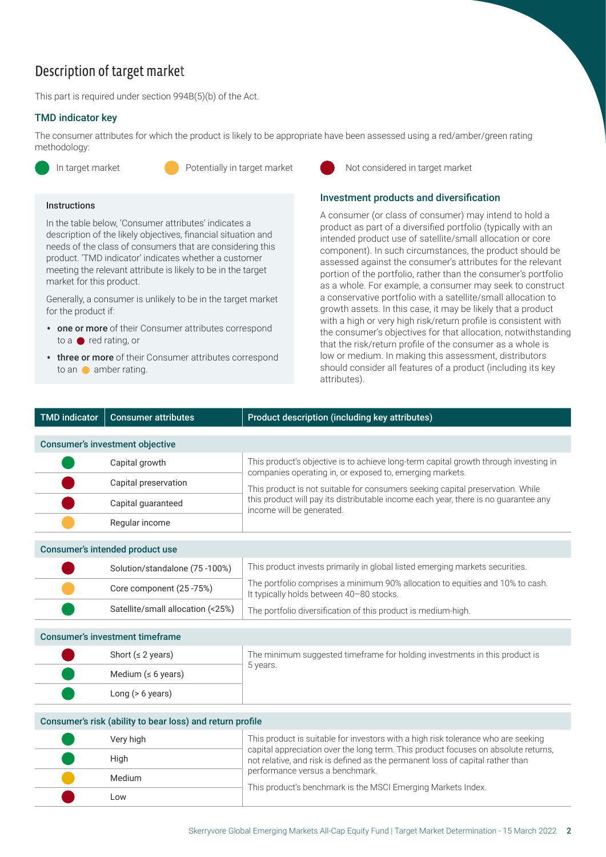# Description of target market

This part is required under section 994B(5)(b) of the Act.

#### TMD indicator key TMD indicator key

The consumer attributes for which the product is likely to be appropriate have been assessed using a red/amber/green rating methodology:

#### **Instructions**

In the table below, 'Consumer attributes' indicates a description of the likely objectives, financial situation and needs of the class of consumers that are considering this product. 'TMD indicator' indicates whether a customer meeting the relevant attribute is likely to be in the target market for this product.

Generally, a consumer is unlikely to be in the target market for the product if:

- one or more of their Consumer attributes correspond to a  $\bullet$  red rating, or
- three or more of their Consumer attributes correspond to an **amber rating**.



#### Investment products and diversification

A consumer (or class of consumer) may intend to hold a product as part of a diversified portfolio (typically with an intended product use of satellite/small allocation or core component). In such circumstances, the product should be assessed against the consumer's attributes for the relevant portion of the portfolio, rather than the consumer's portfolio as a whole. For example, a consumer may seek to construct a conservative portfolio with a satellite/small allocation to growth assets. In this case, it may be likely that a product with a high or very high risk/return profile is consistent with the consumer's objectives for that allocation, notwithstanding that the risk/return profile of the consumer as a whole is low or medium. In making this assessment, distributors should consider all features of a product (including its key attributes).

| <b>TMD indicator</b> | <b>Consumer attributes</b>                                | Product description (including key attributes)                                                                                                                       |
|----------------------|-----------------------------------------------------------|----------------------------------------------------------------------------------------------------------------------------------------------------------------------|
|                      | <b>Consumer's investment objective</b>                    |                                                                                                                                                                      |
|                      | Capital growth                                            | This product's objective is to achieve long-term capital growth through investing in<br>companies operating in, or exposed to, emerging markets.                     |
|                      | Capital preservation                                      | This product is not suitable for consumers seeking capital preservation. While                                                                                       |
|                      | Capital guaranteed                                        | this product will pay its distributable income each year, there is no guarantee any<br>income will be generated.                                                     |
|                      | Regular income                                            |                                                                                                                                                                      |
|                      | Consumer's intended product use                           |                                                                                                                                                                      |
|                      | Solution/standalone (75-100%)                             | This product invests primarily in global listed emerging markets securities.                                                                                         |
|                      | Core component (25 -75%)                                  | The portfolio comprises a minimum 90% allocation to equities and 10% to cash.<br>It typically holds between 40-80 stocks.                                            |
|                      | Satellite/small allocation (<25%)                         | The portfolio diversification of this product is medium-high.                                                                                                        |
|                      | <b>Consumer's investment timeframe</b>                    |                                                                                                                                                                      |
|                      | Short ( $\leq$ 2 years)                                   | The minimum suggested timeframe for holding investments in this product is                                                                                           |
|                      | Medium ( $\leq 6$ years)                                  | 5 years.                                                                                                                                                             |
|                      | Long $(> 6$ years)                                        |                                                                                                                                                                      |
|                      | Consumer's risk (ability to bear loss) and return profile |                                                                                                                                                                      |
|                      | Very high                                                 | This product is suitable for investors with a high risk tolerance who are seeking                                                                                    |
|                      | High                                                      | capital appreciation over the long term. This product focuses on absolute returns,<br>not relative, and risk is defined as the permanent loss of capital rather than |
|                      | Medium                                                    | performance versus a benchmark.                                                                                                                                      |
|                      | Low                                                       | This product's benchmark is the MSCI Emerging Markets Index.                                                                                                         |
|                      |                                                           | Skerryvore Global Emerging Markets All-Cap Equity Fund   Target Market Determination - 15 March 2022                                                                 |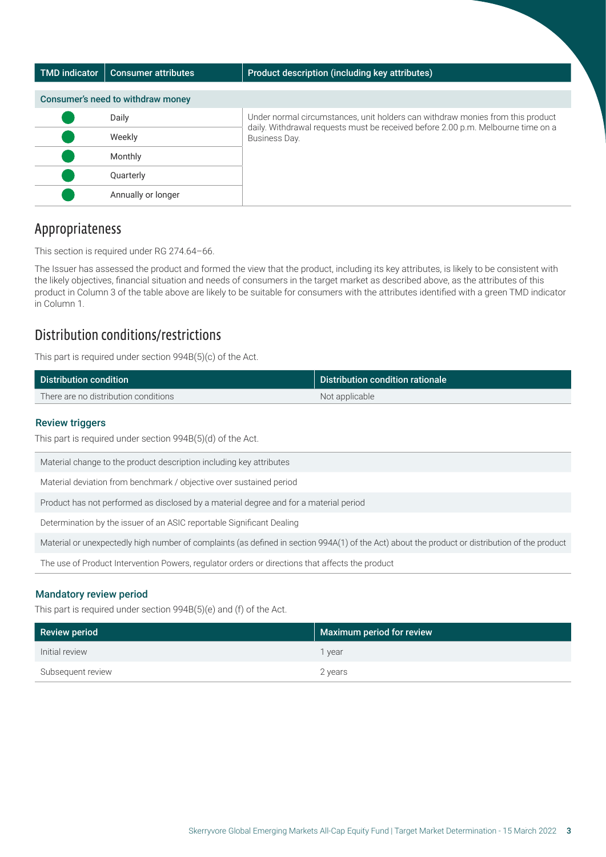| <b>TMD</b> indicator              | <b>Consumer attributes</b> | Product description (including key attributes)                                                    |  |  |
|-----------------------------------|----------------------------|---------------------------------------------------------------------------------------------------|--|--|
| Consumer's need to withdraw money |                            |                                                                                                   |  |  |
|                                   | Daily                      | Under normal circumstances, unit holders can withdraw monies from this product                    |  |  |
|                                   | Weekly                     | daily. Withdrawal requests must be received before 2.00 p.m. Melbourne time on a<br>Business Day. |  |  |
|                                   | Monthly                    |                                                                                                   |  |  |
|                                   | Quarterly                  |                                                                                                   |  |  |
|                                   | Annually or longer         |                                                                                                   |  |  |

## Appropriateness

This section is required under RG 274.64–66.

The Issuer has assessed the product and formed the view that the product, including its key attributes, is likely to be consistent with the likely objectives, financial situation and needs of consumers in the target market as described above, as the attributes of this product in Column 3 of the table above are likely to be suitable for consumers with the attributes identified with a green TMD indicator in Column 1.

# Distribution conditions/restrictions

This part is required under section 994B(5)(c) of the Act.

| Distribution condition               | Distribution condition rationale |
|--------------------------------------|----------------------------------|
| There are no distribution conditions | Not applicable                   |

#### Review triggers

### Mandatory review period Mandatory review period

| <b>Review triggers</b><br>This part is required under section 994B(5)(d) of the Act.                                                           |                                     |  |
|------------------------------------------------------------------------------------------------------------------------------------------------|-------------------------------------|--|
| Material change to the product description including key attributes                                                                            |                                     |  |
| Material deviation from benchmark / objective over sustained period                                                                            |                                     |  |
| Product has not performed as disclosed by a material degree and for a material period                                                          |                                     |  |
| Determination by the issuer of an ASIC reportable Significant Dealing                                                                          |                                     |  |
| Material or unexpectedly high number of complaints (as defined in section 994A(1) of the Act) about the product or distribution of the product |                                     |  |
| The use of Product Intervention Powers, regulator orders or directions that affects the product                                                |                                     |  |
| <b>Mandatory review period</b><br>This part is required under section 994B(5)(e) and (f) of the Act.<br><b>Review period</b>                   |                                     |  |
| Initial review                                                                                                                                 | Maximum period for review<br>1 year |  |
| Subsequent review                                                                                                                              | 2 years                             |  |
|                                                                                                                                                |                                     |  |
|                                                                                                                                                |                                     |  |